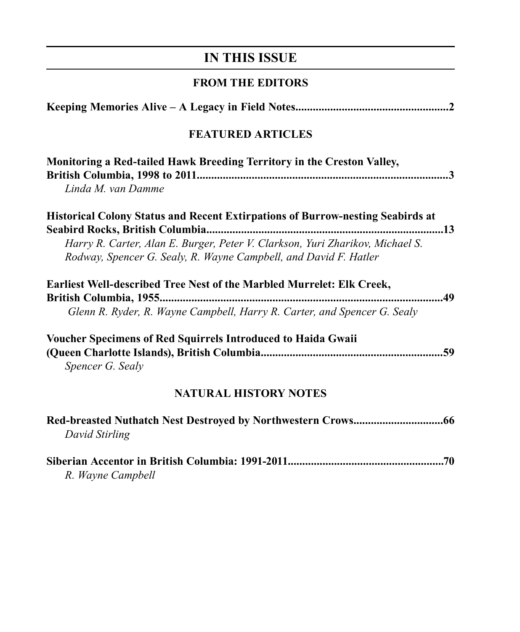# **IN THIS ISSUE**

## **FROM THE EDITORS**

| <b>FEATURED ARTICLES</b>                                                                                                                                                    |    |
|-----------------------------------------------------------------------------------------------------------------------------------------------------------------------------|----|
| Monitoring a Red-tailed Hawk Breeding Territory in the Creston Valley,<br>Linda M. van Damme                                                                                |    |
| Historical Colony Status and Recent Extirpations of Burrow-nesting Seabirds at                                                                                              | 13 |
| Harry R. Carter, Alan E. Burger, Peter V. Clarkson, Yuri Zharikov, Michael S.<br>Rodway, Spencer G. Sealy, R. Wayne Campbell, and David F. Hatler                           |    |
| Earliest Well-described Tree Nest of the Marbled Murrelet: Elk Creek,<br>British Columbia, 1955<br>Glenn R. Ryder, R. Wayne Campbell, Harry R. Carter, and Spencer G. Sealy | 49 |
| Voucher Specimens of Red Squirrels Introduced to Haida Gwaii<br>Spencer G. Sealy                                                                                            |    |
| <b>NATURAL HISTORY NOTES</b>                                                                                                                                                |    |
| David Stirling                                                                                                                                                              |    |
| R. Wayne Campbell                                                                                                                                                           |    |